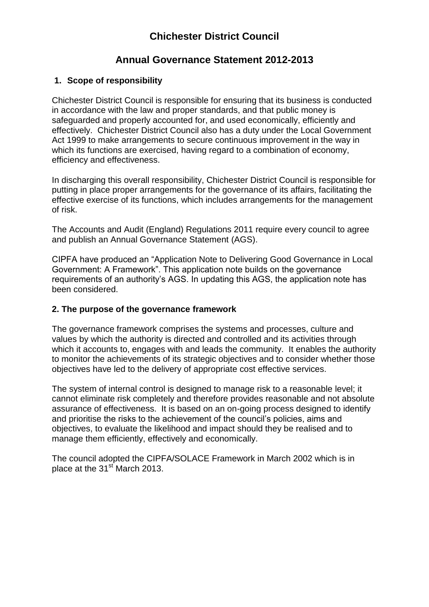# **Chichester District Council**

## **Annual Governance Statement 2012-2013**

## **1. Scope of responsibility**

Chichester District Council is responsible for ensuring that its business is conducted in accordance with the law and proper standards, and that public money is safeguarded and properly accounted for, and used economically, efficiently and effectively. Chichester District Council also has a duty under the Local Government Act 1999 to make arrangements to secure continuous improvement in the way in which its functions are exercised, having regard to a combination of economy, efficiency and effectiveness.

In discharging this overall responsibility, Chichester District Council is responsible for putting in place proper arrangements for the governance of its affairs, facilitating the effective exercise of its functions, which includes arrangements for the management of risk.

The Accounts and Audit (England) Regulations 2011 require every council to agree and publish an Annual Governance Statement (AGS).

CIPFA have produced an "Application Note to Delivering Good Governance in Local Government: A Framework". This application note builds on the governance requirements of an authority's AGS. In updating this AGS, the application note has been considered.

### **2. The purpose of the governance framework**

The governance framework comprises the systems and processes, culture and values by which the authority is directed and controlled and its activities through which it accounts to, engages with and leads the community. It enables the authority to monitor the achievements of its strategic objectives and to consider whether those objectives have led to the delivery of appropriate cost effective services.

The system of internal control is designed to manage risk to a reasonable level; it cannot eliminate risk completely and therefore provides reasonable and not absolute assurance of effectiveness. It is based on an on-going process designed to identify and prioritise the risks to the achievement of the council's policies, aims and objectives, to evaluate the likelihood and impact should they be realised and to manage them efficiently, effectively and economically.

The council adopted the CIPFA/SOLACE Framework in March 2002 which is in place at the 31<sup>st</sup> March 2013.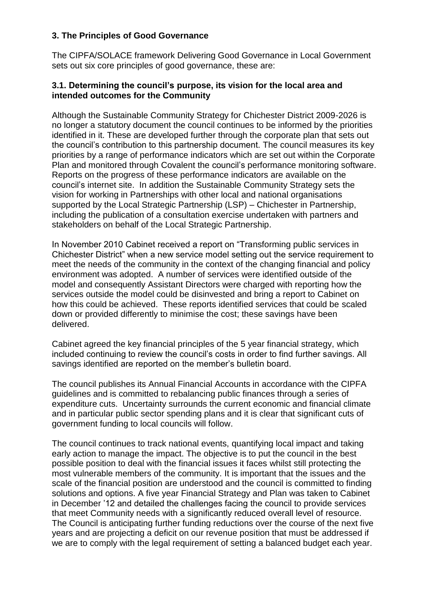## **3. The Principles of Good Governance**

The CIPFA/SOLACE framework Delivering Good Governance in Local Government sets out six core principles of good governance, these are:

## **3.1. Determining the council's purpose, its vision for the local area and intended outcomes for the Community**

Although the Sustainable Community Strategy for Chichester District 2009-2026 is no longer a statutory document the council continues to be informed by the priorities identified in it. These are developed further through the corporate plan that sets out the council's contribution to this partnership document. The council measures its key priorities by a range of performance indicators which are set out within the Corporate Plan and monitored through Covalent the council's performance monitoring software. Reports on the progress of these performance indicators are available on the council's internet site. In addition the Sustainable Community Strategy sets the vision for working in Partnerships with other local and national organisations supported by the Local Strategic Partnership (LSP) – Chichester in Partnership, including the publication of a consultation exercise undertaken with partners and stakeholders on behalf of the Local Strategic Partnership.

In November 2010 Cabinet received a report on "Transforming public services in Chichester District" when a new service model setting out the service requirement to meet the needs of the community in the context of the changing financial and policy environment was adopted. A number of services were identified outside of the model and consequently Assistant Directors were charged with reporting how the services outside the model could be disinvested and bring a report to Cabinet on how this could be achieved. These reports identified services that could be scaled down or provided differently to minimise the cost; these savings have been delivered.

Cabinet agreed the key financial principles of the 5 year financial strategy, which included continuing to review the council's costs in order to find further savings. All savings identified are reported on the member's bulletin board.

The council publishes its Annual Financial Accounts in accordance with the CIPFA guidelines and is committed to rebalancing public finances through a series of expenditure cuts. Uncertainty surrounds the current economic and financial climate and in particular public sector spending plans and it is clear that significant cuts of government funding to local councils will follow.

The council continues to track national events, quantifying local impact and taking early action to manage the impact. The objective is to put the council in the best possible position to deal with the financial issues it faces whilst still protecting the most vulnerable members of the community. It is important that the issues and the scale of the financial position are understood and the council is committed to finding solutions and options. A five year Financial Strategy and Plan was taken to Cabinet in December '12 and detailed the challenges facing the council to provide services that meet Community needs with a significantly reduced overall level of resource. The Council is anticipating further funding reductions over the course of the next five years and are projecting a deficit on our revenue position that must be addressed if we are to comply with the legal requirement of setting a balanced budget each year.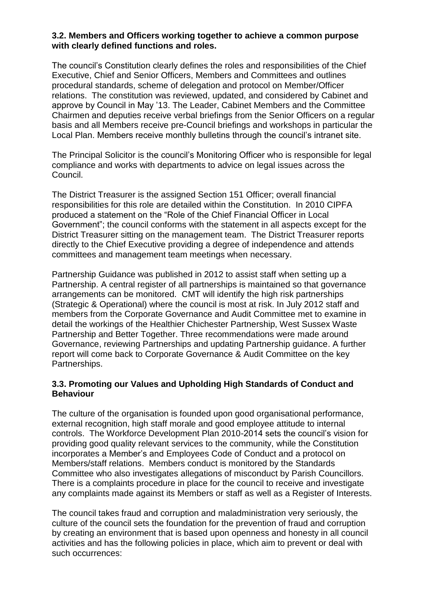### **3.2. Members and Officers working together to achieve a common purpose with clearly defined functions and roles.**

The council's Constitution clearly defines the roles and responsibilities of the Chief Executive, Chief and Senior Officers, Members and Committees and outlines procedural standards, scheme of delegation and protocol on Member/Officer relations. The constitution was reviewed, updated, and considered by Cabinet and approve by Council in May '13. The Leader, Cabinet Members and the Committee Chairmen and deputies receive verbal briefings from the Senior Officers on a regular basis and all Members receive pre-Council briefings and workshops in particular the Local Plan. Members receive monthly bulletins through the council's intranet site.

The Principal Solicitor is the council's Monitoring Officer who is responsible for legal compliance and works with departments to advice on legal issues across the Council.

The District Treasurer is the assigned Section 151 Officer; overall financial responsibilities for this role are detailed within the Constitution. In 2010 CIPFA produced a statement on the "Role of the Chief Financial Officer in Local Government"; the council conforms with the statement in all aspects except for the District Treasurer sitting on the management team. The District Treasurer reports directly to the Chief Executive providing a degree of independence and attends committees and management team meetings when necessary.

Partnership Guidance was published in 2012 to assist staff when setting up a Partnership. A central register of all partnerships is maintained so that governance arrangements can be monitored. CMT will identify the high risk partnerships (Strategic & Operational) where the council is most at risk. In July 2012 staff and members from the Corporate Governance and Audit Committee met to examine in detail the workings of the Healthier Chichester Partnership, West Sussex Waste Partnership and Better Together. Three recommendations were made around Governance, reviewing Partnerships and updating Partnership guidance. A further report will come back to Corporate Governance & Audit Committee on the key Partnerships.

## **3.3. Promoting our Values and Upholding High Standards of Conduct and Behaviour**

The culture of the organisation is founded upon good organisational performance, external recognition, high staff morale and good employee attitude to internal controls. The Workforce Development Plan 2010-2014 sets the council's vision for providing good quality relevant services to the community, while the Constitution incorporates a Member's and Employees Code of Conduct and a protocol on Members/staff relations. Members conduct is monitored by the Standards Committee who also investigates allegations of misconduct by Parish Councillors. There is a complaints procedure in place for the council to receive and investigate any complaints made against its Members or staff as well as a Register of Interests.

The council takes fraud and corruption and maladministration very seriously, the culture of the council sets the foundation for the prevention of fraud and corruption by creating an environment that is based upon openness and honesty in all council activities and has the following policies in place, which aim to prevent or deal with such occurrences: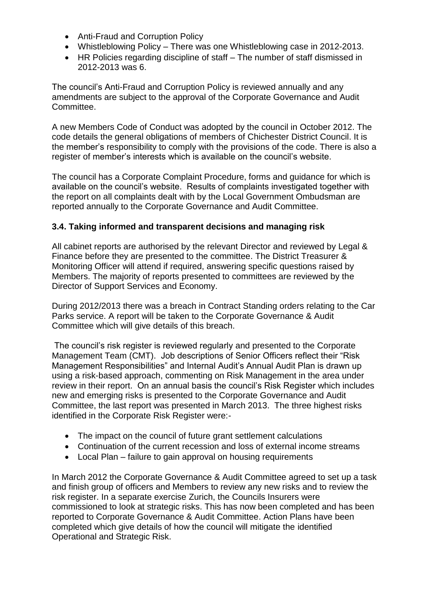- Anti-Fraud and Corruption Policy
- Whistleblowing Policy There was one Whistleblowing case in 2012-2013.
- HR Policies regarding discipline of staff The number of staff dismissed in 2012-2013 was 6.

The council's Anti-Fraud and Corruption Policy is reviewed annually and any amendments are subject to the approval of the Corporate Governance and Audit Committee.

A new Members Code of Conduct was adopted by the council in October 2012. The code details the general obligations of members of Chichester District Council. It is the member's responsibility to comply with the provisions of the code. There is also a register of member's interests which is available on the council's website.

The council has a Corporate Complaint Procedure, forms and guidance for which is available on the council's website. Results of complaints investigated together with the report on all complaints dealt with by the Local Government Ombudsman are reported annually to the Corporate Governance and Audit Committee.

## **3.4. Taking informed and transparent decisions and managing risk**

All cabinet reports are authorised by the relevant Director and reviewed by Legal & Finance before they are presented to the committee. The District Treasurer & Monitoring Officer will attend if required, answering specific questions raised by Members. The majority of reports presented to committees are reviewed by the Director of Support Services and Economy.

During 2012/2013 there was a breach in Contract Standing orders relating to the Car Parks service. A report will be taken to the Corporate Governance & Audit Committee which will give details of this breach.

The council's risk register is reviewed regularly and presented to the Corporate Management Team (CMT). Job descriptions of Senior Officers reflect their "Risk Management Responsibilities" and Internal Audit's Annual Audit Plan is drawn up using a risk-based approach, commenting on Risk Management in the area under review in their report. On an annual basis the council's Risk Register which includes new and emerging risks is presented to the Corporate Governance and Audit Committee, the last report was presented in March 2013. The three highest risks identified in the Corporate Risk Register were:-

- The impact on the council of future grant settlement calculations
- Continuation of the current recession and loss of external income streams
- Local Plan failure to gain approval on housing requirements

In March 2012 the Corporate Governance & Audit Committee agreed to set up a task and finish group of officers and Members to review any new risks and to review the risk register. In a separate exercise Zurich, the Councils Insurers were commissioned to look at strategic risks. This has now been completed and has been reported to Corporate Governance & Audit Committee. Action Plans have been completed which give details of how the council will mitigate the identified Operational and Strategic Risk.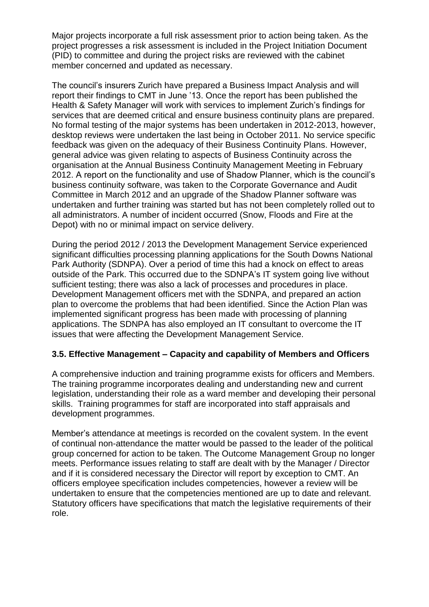Major projects incorporate a full risk assessment prior to action being taken. As the project progresses a risk assessment is included in the Project Initiation Document (PID) to committee and during the project risks are reviewed with the cabinet member concerned and updated as necessary.

The council's insurers Zurich have prepared a Business Impact Analysis and will report their findings to CMT in June '13. Once the report has been published the Health & Safety Manager will work with services to implement Zurich's findings for services that are deemed critical and ensure business continuity plans are prepared. No formal testing of the major systems has been undertaken in 2012-2013, however, desktop reviews were undertaken the last being in October 2011. No service specific feedback was given on the adequacy of their Business Continuity Plans. However, general advice was given relating to aspects of Business Continuity across the organisation at the Annual Business Continuity Management Meeting in February 2012. A report on the functionality and use of Shadow Planner, which is the council's business continuity software, was taken to the Corporate Governance and Audit Committee in March 2012 and an upgrade of the Shadow Planner software was undertaken and further training was started but has not been completely rolled out to all administrators. A number of incident occurred (Snow, Floods and Fire at the Depot) with no or minimal impact on service delivery.

During the period 2012 / 2013 the Development Management Service experienced significant difficulties processing planning applications for the South Downs National Park Authority (SDNPA). Over a period of time this had a knock on effect to areas outside of the Park. This occurred due to the SDNPA's IT system going live without sufficient testing; there was also a lack of processes and procedures in place. Development Management officers met with the SDNPA, and prepared an action plan to overcome the problems that had been identified. Since the Action Plan was implemented significant progress has been made with processing of planning applications. The SDNPA has also employed an IT consultant to overcome the IT issues that were affecting the Development Management Service.

### **3.5. Effective Management – Capacity and capability of Members and Officers**

A comprehensive induction and training programme exists for officers and Members. The training programme incorporates dealing and understanding new and current legislation, understanding their role as a ward member and developing their personal skills. Training programmes for staff are incorporated into staff appraisals and development programmes.

Member's attendance at meetings is recorded on the covalent system. In the event of continual non-attendance the matter would be passed to the leader of the political group concerned for action to be taken. The Outcome Management Group no longer meets. Performance issues relating to staff are dealt with by the Manager / Director and if it is considered necessary the Director will report by exception to CMT. An officers employee specification includes competencies, however a review will be undertaken to ensure that the competencies mentioned are up to date and relevant. Statutory officers have specifications that match the legislative requirements of their role.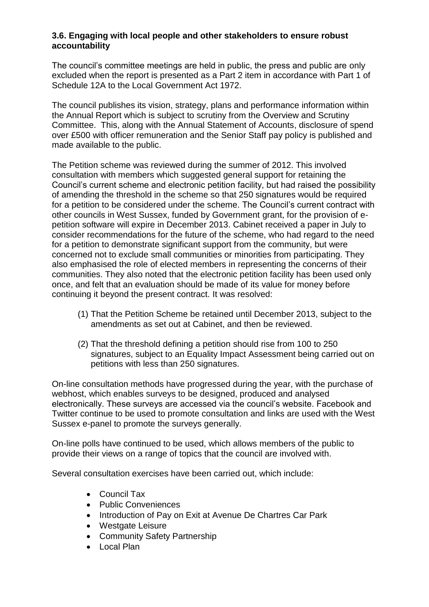## **3.6. Engaging with local people and other stakeholders to ensure robust accountability**

The council's committee meetings are held in public, the press and public are only excluded when the report is presented as a Part 2 item in accordance with Part 1 of Schedule 12A to the Local Government Act 1972.

The council publishes its vision, strategy, plans and performance information within the Annual Report which is subject to scrutiny from the Overview and Scrutiny Committee. This, along with the Annual Statement of Accounts, disclosure of spend over £500 with officer remuneration and the Senior Staff pay policy is published and made available to the public.

The Petition scheme was reviewed during the summer of 2012. This involved consultation with members which suggested general support for retaining the Council's current scheme and electronic petition facility, but had raised the possibility of amending the threshold in the scheme so that 250 signatures would be required for a petition to be considered under the scheme. The Council's current contract with other councils in West Sussex, funded by Government grant, for the provision of epetition software will expire in December 2013. Cabinet received a paper in July to consider recommendations for the future of the scheme, who had regard to the need for a petition to demonstrate significant support from the community, but were concerned not to exclude small communities or minorities from participating. They also emphasised the role of elected members in representing the concerns of their communities. They also noted that the electronic petition facility has been used only once, and felt that an evaluation should be made of its value for money before continuing it beyond the present contract. It was resolved:

- (1) That the Petition Scheme be retained until December 2013, subject to the amendments as set out at Cabinet, and then be reviewed.
- (2) That the threshold defining a petition should rise from 100 to 250 signatures, subject to an Equality Impact Assessment being carried out on petitions with less than 250 signatures.

On-line consultation methods have progressed during the year, with the purchase of webhost, which enables surveys to be designed, produced and analysed electronically. These surveys are accessed via the council's website. Facebook and Twitter continue to be used to promote consultation and links are used with the West Sussex e-panel to promote the surveys generally.

On-line polls have continued to be used, which allows members of the public to provide their views on a range of topics that the council are involved with.

Several consultation exercises have been carried out, which include:

- Council Tax
- Public Conveniences
- Introduction of Pay on Exit at Avenue De Chartres Car Park
- Westgate Leisure
- Community Safety Partnership
- $\bullet$  Local Plan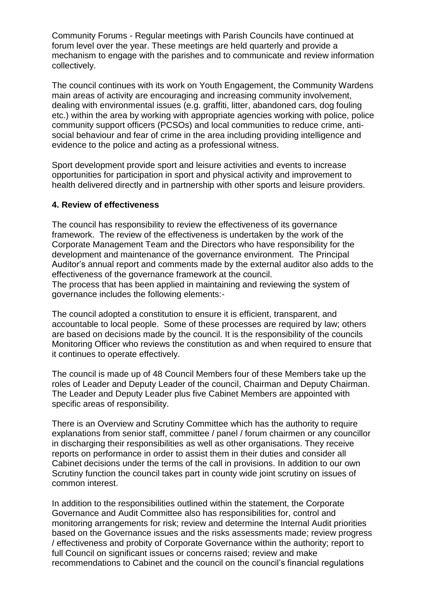Community Forums - Regular meetings with Parish Councils have continued at forum level over the year. These meetings are held quarterly and provide a mechanism to engage with the parishes and to communicate and review information collectively.

The council continues with its work on Youth Engagement, the Community Wardens main areas of activity are encouraging and increasing community involvement, dealing with environmental issues (e.g. graffiti, litter, abandoned cars, dog fouling etc.) within the area by working with appropriate agencies working with police, police community support officers (PCSOs) and local communities to reduce crime, antisocial behaviour and fear of crime in the area including providing intelligence and evidence to the police and acting as a professional witness.

Sport development provide sport and leisure activities and events to increase opportunities for participation in sport and physical activity and improvement to health delivered directly and in partnership with other sports and leisure providers.

#### **4. Review of effectiveness**

The council has responsibility to review the effectiveness of its governance framework. The review of the effectiveness is undertaken by the work of the Corporate Management Team and the Directors who have responsibility for the development and maintenance of the governance environment. The Principal Auditor's annual report and comments made by the external auditor also adds to the effectiveness of the governance framework at the council.

The process that has been applied in maintaining and reviewing the system of governance includes the following elements:-

The council adopted a constitution to ensure it is efficient, transparent, and accountable to local people. Some of these processes are required by law; others are based on decisions made by the council. It is the responsibility of the councils Monitoring Officer who reviews the constitution as and when required to ensure that it continues to operate effectively.

The council is made up of 48 Council Members four of these Members take up the roles of Leader and Deputy Leader of the council, Chairman and Deputy Chairman. The Leader and Deputy Leader plus five Cabinet Members are appointed with specific areas of responsibility.

There is an Overview and Scrutiny Committee which has the authority to require explanations from senior staff, committee / panel / forum chairmen or any councillor in discharging their responsibilities as well as other organisations. They receive reports on performance in order to assist them in their duties and consider all Cabinet decisions under the terms of the call in provisions. In addition to our own Scrutiny function the council takes part in county wide joint scrutiny on issues of common interest.

In addition to the responsibilities outlined within the statement, the Corporate Governance and Audit Committee also has responsibilities for, control and monitoring arrangements for risk; review and determine the Internal Audit priorities based on the Governance issues and the risks assessments made; review progress / effectiveness and probity of Corporate Governance within the authority; report to full Council on significant issues or concerns raised; review and make recommendations to Cabinet and the council on the council's financial regulations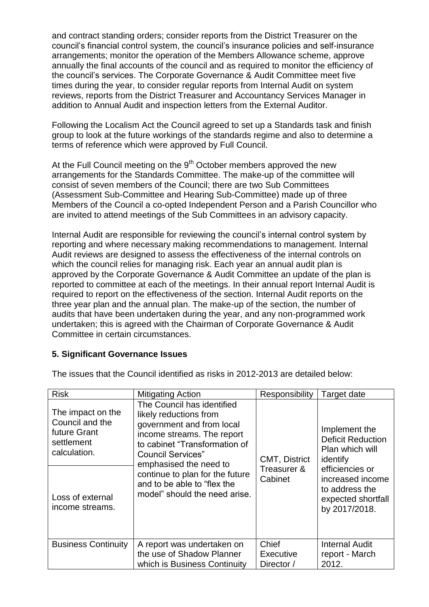and contract standing orders; consider reports from the District Treasurer on the council's financial control system, the council's insurance policies and self-insurance arrangements; monitor the operation of the Members Allowance scheme, approve annually the final accounts of the council and as required to monitor the efficiency of the council's services. The Corporate Governance & Audit Committee meet five times during the year, to consider regular reports from Internal Audit on system reviews, reports from the District Treasurer and Accountancy Services Manager in addition to Annual Audit and inspection letters from the External Auditor.

Following the Localism Act the Council agreed to set up a Standards task and finish group to look at the future workings of the standards regime and also to determine a terms of reference which were approved by Full Council.

At the Full Council meeting on the  $9<sup>th</sup>$  October members approved the new arrangements for the Standards Committee. The make-up of the committee will consist of seven members of the Council; there are two Sub Committees (Assessment Sub-Committee and Hearing Sub-Committee) made up of three Members of the Council a co-opted Independent Person and a Parish Councillor who are invited to attend meetings of the Sub Committees in an advisory capacity.

Internal Audit are responsible for reviewing the council's internal control system by reporting and where necessary making recommendations to management. Internal Audit reviews are designed to assess the effectiveness of the internal controls on which the council relies for managing risk. Each year an annual audit plan is approved by the Corporate Governance & Audit Committee an update of the plan is reported to committee at each of the meetings. In their annual report Internal Audit is required to report on the effectiveness of the section. Internal Audit reports on the three year plan and the annual plan. The make-up of the section, the number of audits that have been undertaken during the year, and any non-programmed work undertaken; this is agreed with the Chairman of Corporate Governance & Audit Committee in certain circumstances.

### **5. Significant Governance Issues**

| <b>Risk</b>                                                                        | <b>Mitigating Action</b>                                                                                                                                                                                                                                                                                  | Responsibility                                 | Target date                                                                                                                                                              |
|------------------------------------------------------------------------------------|-----------------------------------------------------------------------------------------------------------------------------------------------------------------------------------------------------------------------------------------------------------------------------------------------------------|------------------------------------------------|--------------------------------------------------------------------------------------------------------------------------------------------------------------------------|
| The impact on the<br>Council and the<br>future Grant<br>settlement<br>calculation. | The Council has identified<br>likely reductions from<br>government and from local<br>income streams. The report<br>to cabinet "Transformation of<br><b>Council Services"</b><br>emphasised the need to<br>continue to plan for the future<br>and to be able to "flex the<br>model" should the need arise. | <b>CMT, District</b><br>Treasurer &<br>Cabinet | Implement the<br><b>Deficit Reduction</b><br>Plan which will<br>identify<br>efficiencies or<br>increased income<br>to address the<br>expected shortfall<br>by 2017/2018. |
| Loss of external<br>income streams.                                                |                                                                                                                                                                                                                                                                                                           |                                                |                                                                                                                                                                          |
| <b>Business Continuity</b>                                                         | A report was undertaken on<br>the use of Shadow Planner<br>which is Business Continuity                                                                                                                                                                                                                   | Chief<br>Executive<br>Director /               | <b>Internal Audit</b><br>report - March<br>2012.                                                                                                                         |

The issues that the Council identified as risks in 2012-2013 are detailed below: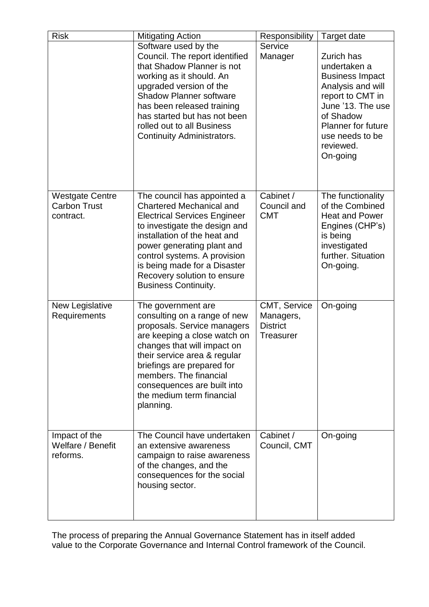| <b>Risk</b>                                                | <b>Mitigating Action</b>                                                                                                                                                                                                                                                                                                           | Responsibility                                                   | Target date                                                                                                                                                                                              |
|------------------------------------------------------------|------------------------------------------------------------------------------------------------------------------------------------------------------------------------------------------------------------------------------------------------------------------------------------------------------------------------------------|------------------------------------------------------------------|----------------------------------------------------------------------------------------------------------------------------------------------------------------------------------------------------------|
|                                                            | Software used by the<br>Council. The report identified<br>that Shadow Planner is not<br>working as it should. An<br>upgraded version of the<br><b>Shadow Planner software</b><br>has been released training<br>has started but has not been<br>rolled out to all Business<br><b>Continuity Administrators.</b>                     | Service<br>Manager                                               | Zurich has<br>undertaken a<br><b>Business Impact</b><br>Analysis and will<br>report to CMT in<br>June '13. The use<br>of Shadow<br><b>Planner for future</b><br>use needs to be<br>reviewed.<br>On-going |
| <b>Westgate Centre</b><br><b>Carbon Trust</b><br>contract. | The council has appointed a<br><b>Chartered Mechanical and</b><br><b>Electrical Services Engineer</b><br>to investigate the design and<br>installation of the heat and<br>power generating plant and<br>control systems. A provision<br>is being made for a Disaster<br>Recovery solution to ensure<br><b>Business Continuity.</b> | Cabinet /<br>Council and<br><b>CMT</b>                           | The functionality<br>of the Combined<br><b>Heat and Power</b><br>Engines (CHP's)<br>is being<br>investigated<br>further. Situation<br>On-going.                                                          |
| New Legislative<br>Requirements                            | The government are<br>consulting on a range of new<br>proposals. Service managers<br>are keeping a close watch on<br>changes that will impact on<br>their service area & regular<br>briefings are prepared for<br>members. The financial<br>consequences are built into<br>the medium term financial<br>planning.                  | CMT, Service<br>Managers,<br><b>District</b><br><b>Treasurer</b> | On-going                                                                                                                                                                                                 |
| Impact of the<br>Welfare / Benefit<br>reforms.             | The Council have undertaken<br>an extensive awareness<br>campaign to raise awareness<br>of the changes, and the<br>consequences for the social<br>housing sector.                                                                                                                                                                  | Cabinet /<br>Council, CMT                                        | On-going                                                                                                                                                                                                 |

The process of preparing the Annual Governance Statement has in itself added value to the Corporate Governance and Internal Control framework of the Council.